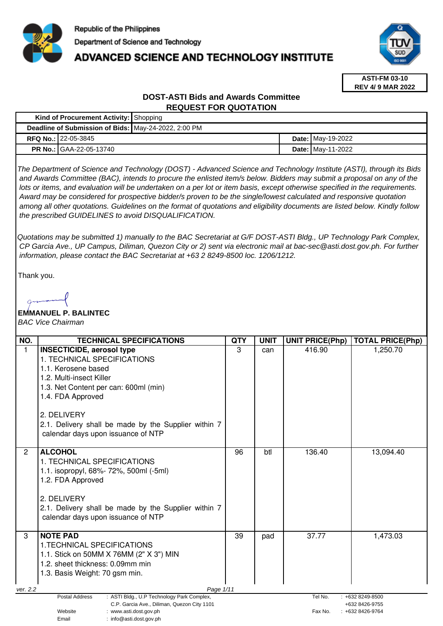

# **ADVANCED SCIENCE AND TECHNOLOGY INSTITUTE**



**ASTI-FM 03-10 REV 4/ 9 MAR 2022**

### **DOST-ASTI Bids and Awards Committee REQUEST FOR QUOTATION**

|                                                      | <b>Kind of Procurement Activity:   Shopping</b> |  |  |                          |
|------------------------------------------------------|-------------------------------------------------|--|--|--------------------------|
| Deadline of Submission of Bids: May-24-2022, 2:00 PM |                                                 |  |  |                          |
|                                                      | <b>RFQ No.: 22-05-3845</b>                      |  |  | <b>Date: May-19-2022</b> |
|                                                      | <b>PR No.: GAA-22-05-13740</b>                  |  |  | <b>Date: May-11-2022</b> |

The Department of Science and Technology (DOST) - Advanced Science and Technology Institute (ASTI), through its Bids and Awards Committee (BAC), intends to procure the enlisted item/s below. Bidders may submit a proposal on any of the lots or items, and evaluation will be undertaken on a per lot or item basis, except otherwise specified in the requirements. Award may be considered for prospective bidder/s proven to be the single/lowest calculated and responsive quotation among all other quotations. Guidelines on the format of quotations and eligibility documents are listed below. Kindly follow the prescribed GUIDELINES to avoid DISQUALIFICATION.

Quotations may be submitted 1) manually to the BAC Secretariat at G/F DOST-ASTI Bldg., UP Technology Park Complex, CP Garcia Ave., UP Campus, Diliman, Quezon City or 2) sent via electronic mail at bac-sec@asti.dost.gov.ph. For further information, please contact the BAC Secretariat at +63 2 8249-8500 loc. 1206/1212.

Thank you.

## **EMMANUEL P. BALINTEC**

BAC Vice Chairman

| NO.            | <b>TECHNICAL SPECIFICATIONS</b>                                                                                                                                                                                                                                                               | QTY | <b>UNIT</b> | <b>UNIT PRICE(Php)</b> | <b>TOTAL PRICE(Php)</b>                                   |
|----------------|-----------------------------------------------------------------------------------------------------------------------------------------------------------------------------------------------------------------------------------------------------------------------------------------------|-----|-------------|------------------------|-----------------------------------------------------------|
| 1              | <b>INSECTICIDE, aerosol type</b><br>1. TECHNICAL SPECIFICATIONS<br>1.1. Kerosene based<br>1.2. Multi-insect Killer<br>1.3. Net Content per can: 600ml (min)<br>1.4. FDA Approved<br>2. DELIVERY<br>2.1. Delivery shall be made by the Supplier within 7<br>calendar days upon issuance of NTP | 3   | can         | 416.90                 | 1,250.70                                                  |
| $\overline{2}$ | <b>ALCOHOL</b><br>1. TECHNICAL SPECIFICATIONS<br>1.1. isopropyl, 68%- 72%, 500ml (-5ml)<br>1.2. FDA Approved<br>2. DELIVERY<br>2.1. Delivery shall be made by the Supplier within 7<br>calendar days upon issuance of NTP                                                                     | 96  | btl         | 136.40                 | 13,094.40                                                 |
| 3              | <b>NOTE PAD</b><br>1. TECHNICAL SPECIFICATIONS<br>1.1. Stick on 50MM X 76MM (2" X 3") MIN<br>1.2. sheet thickness: 0.09mm min<br>1.3. Basis Weight: 70 gsm min.                                                                                                                               | 39  | pad         | 37.77                  | 1,473.03                                                  |
| ver. 2.2       | Page 1/11                                                                                                                                                                                                                                                                                     |     |             |                        |                                                           |
|                | <b>Postal Address</b><br>: ASTI Bldg., U.P Technology Park Complex,<br>C.P. Garcia Ave., Diliman, Quezon City 1101<br>Website<br>: www.asti.dost.gov.ph<br>: info@asti.dost.gov.ph<br>Email                                                                                                   |     |             | Tel No.<br>Fax No.     | $: +6328249 - 8500$<br>+632 8426-9755<br>: +632 8426-9764 |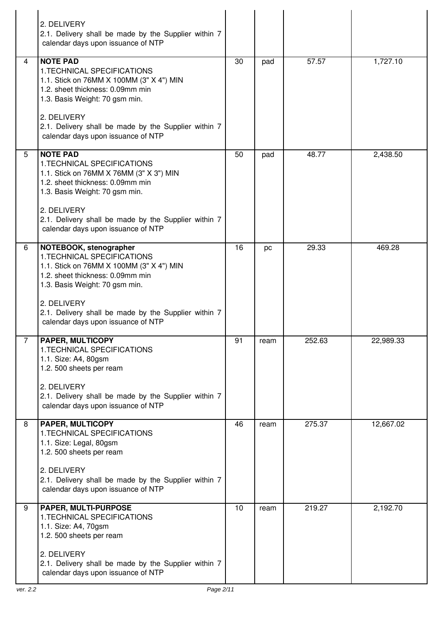|   | 2. DELIVERY<br>2.1. Delivery shall be made by the Supplier within 7<br>calendar days upon issuance of NTP                                                                                                                                                                            |    |      |        |           |
|---|--------------------------------------------------------------------------------------------------------------------------------------------------------------------------------------------------------------------------------------------------------------------------------------|----|------|--------|-----------|
| 4 | <b>NOTE PAD</b><br>1. TECHNICAL SPECIFICATIONS<br>1.1. Stick on 76MM X 100MM (3" X 4") MIN<br>1.2. sheet thickness: 0.09mm min<br>1.3. Basis Weight: 70 gsm min.<br>2. DELIVERY<br>2.1. Delivery shall be made by the Supplier within 7<br>calendar days upon issuance of NTP        | 30 | pad  | 57.57  | 1,727.10  |
| 5 | <b>NOTE PAD</b><br>1. TECHNICAL SPECIFICATIONS<br>1.1. Stick on 76MM X 76MM (3" X 3") MIN<br>1.2. sheet thickness: 0.09mm min<br>1.3. Basis Weight: 70 gsm min.<br>2. DELIVERY<br>2.1. Delivery shall be made by the Supplier within 7<br>calendar days upon issuance of NTP         | 50 | pad  | 48.77  | 2,438.50  |
| 6 | NOTEBOOK, stenographer<br>1. TECHNICAL SPECIFICATIONS<br>1.1. Stick on 76MM X 100MM (3" X 4") MIN<br>1.2. sheet thickness: 0.09mm min<br>1.3. Basis Weight: 70 gsm min.<br>2. DELIVERY<br>2.1. Delivery shall be made by the Supplier within 7<br>calendar days upon issuance of NTP | 16 | pc   | 29.33  | 469.28    |
|   | <b>PAPER, MULTICOPY</b><br>1. TECHNICAL SPECIFICATIONS<br>1.1. Size: A4, 80gsm<br>1.2. 500 sheets per ream<br>2. DELIVERY<br>2.1. Delivery shall be made by the Supplier within 7<br>calendar days upon issuance of NTP                                                              | 91 | ream | 252.63 | 22,989.33 |
| 8 | <b>PAPER, MULTICOPY</b><br>1. TECHNICAL SPECIFICATIONS<br>1.1. Size: Legal, 80gsm<br>1.2. 500 sheets per ream<br>2. DELIVERY<br>2.1. Delivery shall be made by the Supplier within 7<br>calendar days upon issuance of NTP                                                           | 46 | ream | 275.37 | 12,667.02 |
| 9 | PAPER, MULTI-PURPOSE<br>1.TECHNICAL SPECIFICATIONS<br>1.1. Size: A4, 70gsm<br>1.2. 500 sheets per ream<br>2. DELIVERY<br>2.1. Delivery shall be made by the Supplier within 7<br>calendar days upon issuance of NTP                                                                  | 10 | ream | 219.27 | 2,192.70  |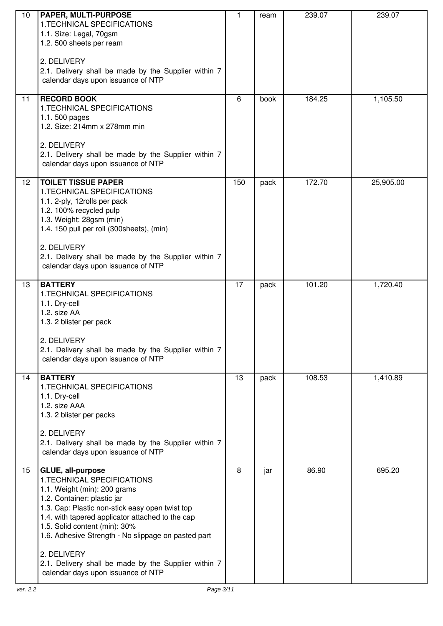| 10 | <b>PAPER, MULTI-PURPOSE</b><br>1. TECHNICAL SPECIFICATIONS<br>1.1. Size: Legal, 70gsm<br>1.2. 500 sheets per ream<br>2. DELIVERY<br>2.1. Delivery shall be made by the Supplier within 7<br>calendar days upon issuance of NTP                                                                                                                                                                                              | 1   | ream | 239.07 | 239.07    |
|----|-----------------------------------------------------------------------------------------------------------------------------------------------------------------------------------------------------------------------------------------------------------------------------------------------------------------------------------------------------------------------------------------------------------------------------|-----|------|--------|-----------|
| 11 | <b>RECORD BOOK</b><br>1.TECHNICAL SPECIFICATIONS<br>1.1.500 pages<br>1.2. Size: 214mm x 278mm min<br>2. DELIVERY<br>2.1. Delivery shall be made by the Supplier within 7<br>calendar days upon issuance of NTP                                                                                                                                                                                                              | 6   | book | 184.25 | 1,105.50  |
| 12 | <b>TOILET TISSUE PAPER</b><br>1. TECHNICAL SPECIFICATIONS<br>1.1. 2-ply, 12rolls per pack<br>1.2. 100% recycled pulp<br>1.3. Weight: 28gsm (min)<br>1.4. 150 pull per roll (300sheets), (min)<br>2. DELIVERY<br>2.1. Delivery shall be made by the Supplier within 7<br>calendar days upon issuance of NTP                                                                                                                  | 150 | pack | 172.70 | 25,905.00 |
| 13 | <b>BATTERY</b><br>1. TECHNICAL SPECIFICATIONS<br>1.1. Dry-cell<br>1.2. size AA<br>1.3. 2 blister per pack<br>2. DELIVERY<br>2.1. Delivery shall be made by the Supplier within 7<br>calendar days upon issuance of NTP                                                                                                                                                                                                      | 17  | pack | 101.20 | 1,720.40  |
| 14 | <b>BATTERY</b><br>1. TECHNICAL SPECIFICATIONS<br>1.1. Dry-cell<br>1.2. size AAA<br>1.3. 2 blister per packs<br>2. DELIVERY<br>2.1. Delivery shall be made by the Supplier within 7<br>calendar days upon issuance of NTP                                                                                                                                                                                                    | 13  | pack | 108.53 | 1,410.89  |
| 15 | GLUE, all-purpose<br>1. TECHNICAL SPECIFICATIONS<br>1.1. Weight (min): 200 grams<br>1.2. Container: plastic jar<br>1.3. Cap: Plastic non-stick easy open twist top<br>1.4. with tapered applicator attached to the cap<br>1.5. Solid content (min): 30%<br>1.6. Adhesive Strength - No slippage on pasted part<br>2. DELIVERY<br>2.1. Delivery shall be made by the Supplier within 7<br>calendar days upon issuance of NTP | 8   | jar  | 86.90  | 695.20    |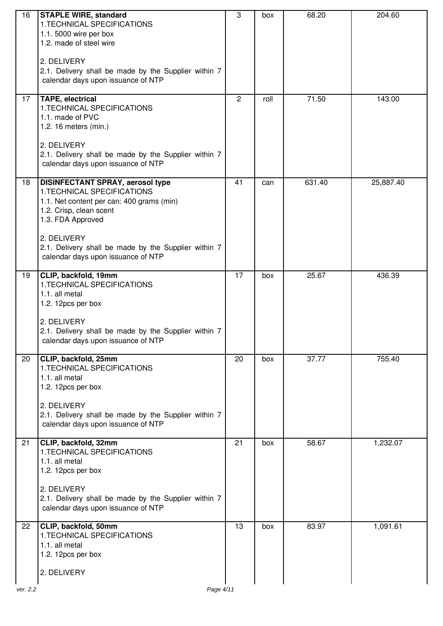| 16 | <b>STAPLE WIRE, standard</b>                           | 3  | box  | 68.20  | 204.60    |
|----|--------------------------------------------------------|----|------|--------|-----------|
|    | 1.TECHNICAL SPECIFICATIONS                             |    |      |        |           |
|    | 1.1. 5000 wire per box                                 |    |      |        |           |
|    | 1.2. made of steel wire                                |    |      |        |           |
|    |                                                        |    |      |        |           |
|    | 2. DELIVERY                                            |    |      |        |           |
|    | 2.1. Delivery shall be made by the Supplier within 7   |    |      |        |           |
|    | calendar days upon issuance of NTP                     |    |      |        |           |
|    |                                                        |    |      |        |           |
| 17 | <b>TAPE, electrical</b><br>1. TECHNICAL SPECIFICATIONS | 2  | roll | 71.50  | 143.00    |
|    | 1.1. made of PVC                                       |    |      |        |           |
|    | 1.2. 16 meters (min.)                                  |    |      |        |           |
|    |                                                        |    |      |        |           |
|    | 2. DELIVERY                                            |    |      |        |           |
|    | 2.1. Delivery shall be made by the Supplier within 7   |    |      |        |           |
|    | calendar days upon issuance of NTP                     |    |      |        |           |
|    |                                                        |    |      |        |           |
| 18 | <b>DISINFECTANT SPRAY, aerosol type</b>                | 41 | can  | 631.40 | 25,887.40 |
|    | 1. TECHNICAL SPECIFICATIONS                            |    |      |        |           |
|    | 1.1. Net content per can: 400 grams (min)              |    |      |        |           |
|    | 1.2. Crisp, clean scent                                |    |      |        |           |
|    | 1.3. FDA Approved                                      |    |      |        |           |
|    |                                                        |    |      |        |           |
|    | 2. DELIVERY                                            |    |      |        |           |
|    | 2.1. Delivery shall be made by the Supplier within 7   |    |      |        |           |
|    | calendar days upon issuance of NTP                     |    |      |        |           |
| 19 | CLIP, backfold, 19mm                                   | 17 | box  | 25.67  | 436.39    |
|    | 1. TECHNICAL SPECIFICATIONS                            |    |      |        |           |
|    | 1.1. all metal                                         |    |      |        |           |
|    | 1.2. 12pcs per box                                     |    |      |        |           |
|    |                                                        |    |      |        |           |
|    | 2. DELIVERY                                            |    |      |        |           |
|    | 2.1. Delivery shall be made by the Supplier within 7   |    |      |        |           |
|    | calendar days upon issuance of NTP                     |    |      |        |           |
|    |                                                        |    |      |        |           |
| 20 | CLIP, backfold, 25mm                                   | 20 | box  | 37.77  | 755.40    |
|    | 1. TECHNICAL SPECIFICATIONS                            |    |      |        |           |
|    | 1.1. all metal                                         |    |      |        |           |
|    | 1.2. 12pcs per box                                     |    |      |        |           |
|    | 2. DELIVERY                                            |    |      |        |           |
|    | 2.1. Delivery shall be made by the Supplier within 7   |    |      |        |           |
|    | calendar days upon issuance of NTP                     |    |      |        |           |
|    |                                                        |    |      |        |           |
| 21 | CLIP, backfold, 32mm                                   | 21 | box  | 58.67  | 1,232.07  |
|    | 1. TECHNICAL SPECIFICATIONS                            |    |      |        |           |
|    | 1.1. all metal                                         |    |      |        |           |
|    | 1.2. 12pcs per box                                     |    |      |        |           |
|    |                                                        |    |      |        |           |
|    | 2. DELIVERY                                            |    |      |        |           |
|    | 2.1. Delivery shall be made by the Supplier within 7   |    |      |        |           |
|    | calendar days upon issuance of NTP                     |    |      |        |           |
| 22 | CLIP, backfold, 50mm                                   | 13 | box  | 83.97  | 1,091.61  |
|    | 1. TECHNICAL SPECIFICATIONS                            |    |      |        |           |
|    | 1.1. all metal                                         |    |      |        |           |
|    | 1.2. 12pcs per box                                     |    |      |        |           |
|    |                                                        |    |      |        |           |
|    | 2. DELIVERY                                            |    |      |        |           |
|    |                                                        |    |      |        |           |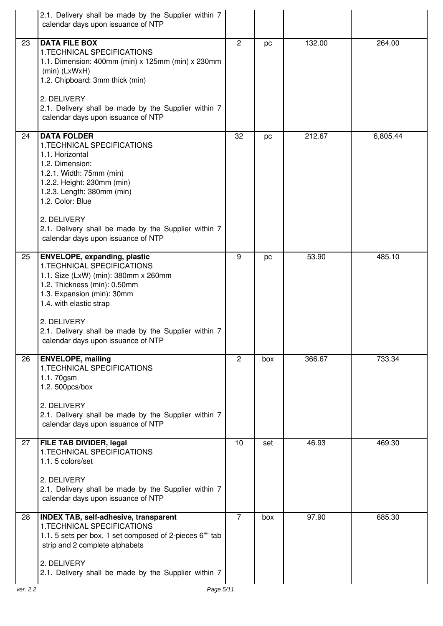|    | 2.1. Delivery shall be made by the Supplier within 7<br>calendar days upon issuance of NTP                                                                                                                                                                                                                       |                |     |        |          |
|----|------------------------------------------------------------------------------------------------------------------------------------------------------------------------------------------------------------------------------------------------------------------------------------------------------------------|----------------|-----|--------|----------|
| 23 | <b>DATA FILE BOX</b><br>1. TECHNICAL SPECIFICATIONS<br>1.1. Dimension: 400mm (min) x 125mm (min) x 230mm<br>$(min)$ (LxWxH)<br>1.2. Chipboard: 3mm thick (min)<br>2. DELIVERY<br>2.1. Delivery shall be made by the Supplier within 7<br>calendar days upon issuance of NTP                                      | 2              | pc  | 132.00 | 264.00   |
| 24 | <b>DATA FOLDER</b><br>1.TECHNICAL SPECIFICATIONS<br>1.1. Horizontal<br>1.2. Dimension:<br>1.2.1. Width: 75mm (min)<br>1.2.2. Height: 230mm (min)<br>1.2.3. Length: 380mm (min)<br>1.2. Color: Blue<br>2. DELIVERY<br>2.1. Delivery shall be made by the Supplier within 7<br>calendar days upon issuance of NTP  | 32             | pc  | 212.67 | 6,805.44 |
| 25 | <b>ENVELOPE, expanding, plastic</b><br>1. TECHNICAL SPECIFICATIONS<br>1.1. Size (LxW) (min): 380mm x 260mm<br>1.2. Thickness (min): 0.50mm<br>1.3. Expansion (min): 30mm<br>1.4. with elastic strap<br>2. DELIVERY<br>2.1. Delivery shall be made by the Supplier within 7<br>calendar days upon issuance of NTP | 9              | pc  | 53.90  | 485.10   |
| 26 | <b>ENVELOPE, mailing</b><br>1. TECHNICAL SPECIFICATIONS<br>1.1.70gsm<br>1.2. 500pcs/box<br>2. DELIVERY<br>2.1. Delivery shall be made by the Supplier within 7<br>calendar days upon issuance of NTP                                                                                                             | 2              | box | 366.67 | 733.34   |
| 27 | <b>FILE TAB DIVIDER, legal</b><br>1. TECHNICAL SPECIFICATIONS<br>1.1.5 colors/set<br>2. DELIVERY<br>2.1. Delivery shall be made by the Supplier within 7<br>calendar days upon issuance of NTP                                                                                                                   | 10             | set | 46.93  | 469.30   |
| 28 | <b>INDEX TAB, self-adhesive, transparent</b><br>1. TECHNICAL SPECIFICATIONS<br>1.1. 5 sets per box, 1 set composed of 2-pieces 6"" tab<br>strip and 2 complete alphabets<br>2. DELIVERY<br>2.1. Delivery shall be made by the Supplier within 7                                                                  | $\overline{7}$ | box | 97.90  | 685.30   |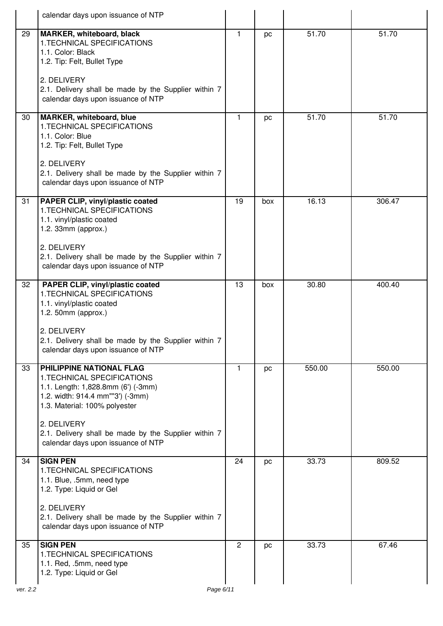|          | calendar days upon issuance of NTP                                                                                                                                                                                                                                              |                |     |        |        |
|----------|---------------------------------------------------------------------------------------------------------------------------------------------------------------------------------------------------------------------------------------------------------------------------------|----------------|-----|--------|--------|
| 29       | <b>MARKER, whiteboard, black</b><br>1. TECHNICAL SPECIFICATIONS<br>1.1. Color: Black<br>1.2. Tip: Felt, Bullet Type<br>2. DELIVERY<br>2.1. Delivery shall be made by the Supplier within 7                                                                                      | 1              | pc  | 51.70  | 51.70  |
|          | calendar days upon issuance of NTP                                                                                                                                                                                                                                              |                |     |        |        |
| 30       | MARKER, whiteboard, blue<br>1. TECHNICAL SPECIFICATIONS<br>1.1. Color: Blue<br>1.2. Tip: Felt, Bullet Type                                                                                                                                                                      | $\mathbf{1}$   | pc  | 51.70  | 51.70  |
|          | 2. DELIVERY<br>2.1. Delivery shall be made by the Supplier within 7<br>calendar days upon issuance of NTP                                                                                                                                                                       |                |     |        |        |
| 31       | PAPER CLIP, vinyl/plastic coated<br>1. TECHNICAL SPECIFICATIONS<br>1.1. vinyl/plastic coated<br>1.2. 33mm (approx.)<br>2. DELIVERY<br>2.1. Delivery shall be made by the Supplier within 7<br>calendar days upon issuance of NTP                                                | 19             | box | 16.13  | 306.47 |
| 32       | PAPER CLIP, vinyl/plastic coated<br>1. TECHNICAL SPECIFICATIONS<br>1.1. vinyl/plastic coated<br>1.2. 50mm (approx.)<br>2. DELIVERY<br>2.1. Delivery shall be made by the Supplier within 7<br>calendar days upon issuance of NTP                                                | 13             | box | 30.80  | 400.40 |
| 33       | PHILIPPINE NATIONAL FLAG<br>1. TECHNICAL SPECIFICATIONS<br>1.1. Length: 1,828.8mm (6') (-3mm)<br>1.2. width: 914.4 mm""3') (-3mm)<br>1.3. Material: 100% polyester<br>2. DELIVERY<br>2.1. Delivery shall be made by the Supplier within 7<br>calendar days upon issuance of NTP | $\mathbf{1}$   | pc  | 550.00 | 550.00 |
| 34       | <b>SIGN PEN</b><br>1.TECHNICAL SPECIFICATIONS<br>1.1. Blue, .5mm, need type<br>1.2. Type: Liquid or Gel<br>2. DELIVERY<br>2.1. Delivery shall be made by the Supplier within 7<br>calendar days upon issuance of NTP                                                            | 24             | pc  | 33.73  | 809.52 |
| 35       | <b>SIGN PEN</b><br>1. TECHNICAL SPECIFICATIONS<br>1.1. Red, .5mm, need type<br>1.2. Type: Liquid or Gel                                                                                                                                                                         | $\overline{2}$ | pc  | 33.73  | 67.46  |
| ver. 2.2 | Page 6/11                                                                                                                                                                                                                                                                       |                |     |        |        |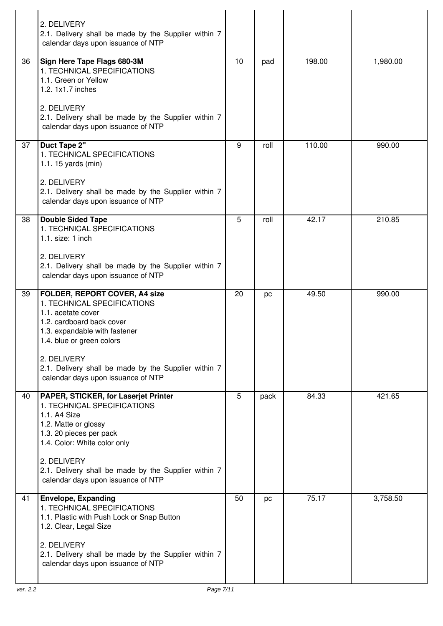|    | 2. DELIVERY<br>2.1. Delivery shall be made by the Supplier within 7<br>calendar days upon issuance of NTP                                                                                                                                                                                         |    |      |        |          |
|----|---------------------------------------------------------------------------------------------------------------------------------------------------------------------------------------------------------------------------------------------------------------------------------------------------|----|------|--------|----------|
| 36 | Sign Here Tape Flags 680-3M<br>1. TECHNICAL SPECIFICATIONS<br>1.1. Green or Yellow<br>1.2. 1x1.7 inches<br>2. DELIVERY<br>2.1. Delivery shall be made by the Supplier within 7<br>calendar days upon issuance of NTP                                                                              | 10 | pad  | 198.00 | 1,980.00 |
| 37 | <b>Duct Tape 2"</b><br>1. TECHNICAL SPECIFICATIONS<br>1.1.15 yards $(min)$<br>2. DELIVERY<br>2.1. Delivery shall be made by the Supplier within 7<br>calendar days upon issuance of NTP                                                                                                           | 9  | roll | 110.00 | 990.00   |
| 38 | <b>Double Sided Tape</b><br>1. TECHNICAL SPECIFICATIONS<br>$1.1.$ size: $1$ inch<br>2. DELIVERY<br>2.1. Delivery shall be made by the Supplier within 7<br>calendar days upon issuance of NTP                                                                                                     | 5  | roll | 42.17  | 210.85   |
| 39 | <b>FOLDER, REPORT COVER, A4 size</b><br>1. TECHNICAL SPECIFICATIONS<br>1.1. acetate cover<br>1.2. cardboard back cover<br>1.3. expandable with fastener<br>1.4. blue or green colors<br>2. DELIVERY<br>2.1. Delivery shall be made by the Supplier within 7<br>calendar days upon issuance of NTP | 20 | pc   | 49.50  | 990.00   |
| 40 | PAPER, STICKER, for Laserjet Printer<br>1. TECHNICAL SPECIFICATIONS<br>1.1. A4 Size<br>1.2. Matte or glossy<br>1.3. 20 pieces per pack<br>1.4. Color: White color only<br>2. DELIVERY<br>2.1. Delivery shall be made by the Supplier within 7<br>calendar days upon issuance of NTP               | 5  | pack | 84.33  | 421.65   |
| 41 | <b>Envelope, Expanding</b><br>1. TECHNICAL SPECIFICATIONS<br>1.1. Plastic with Push Lock or Snap Button<br>1.2. Clear, Legal Size<br>2. DELIVERY<br>2.1. Delivery shall be made by the Supplier within 7<br>calendar days upon issuance of NTP                                                    | 50 | pc   | 75.17  | 3,758.50 |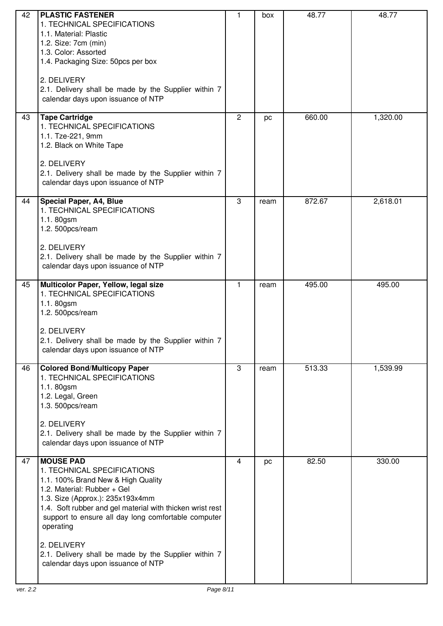| 42 | <b>PLASTIC FASTENER</b><br>1. TECHNICAL SPECIFICATIONS<br>1.1. Material: Plastic<br>1.2. Size: 7cm (min)<br>1.3. Color: Assorted<br>1.4. Packaging Size: 50pcs per box<br>2. DELIVERY<br>2.1. Delivery shall be made by the Supplier within 7<br>calendar days upon issuance of NTP                                                                                                                    | 1              | box  | 48.77  | 48.77    |
|----|--------------------------------------------------------------------------------------------------------------------------------------------------------------------------------------------------------------------------------------------------------------------------------------------------------------------------------------------------------------------------------------------------------|----------------|------|--------|----------|
| 43 | <b>Tape Cartridge</b><br>1. TECHNICAL SPECIFICATIONS<br>1.1. Tze-221, 9mm<br>1.2. Black on White Tape<br>2. DELIVERY<br>2.1. Delivery shall be made by the Supplier within 7<br>calendar days upon issuance of NTP                                                                                                                                                                                     | $\overline{c}$ | pc   | 660.00 | 1,320.00 |
| 44 | <b>Special Paper, A4, Blue</b><br>1. TECHNICAL SPECIFICATIONS<br>1.1.80gsm<br>1.2. 500pcs/ream<br>2. DELIVERY<br>2.1. Delivery shall be made by the Supplier within 7<br>calendar days upon issuance of NTP                                                                                                                                                                                            | 3              | ream | 872.67 | 2,618.01 |
| 45 | Multicolor Paper, Yellow, legal size<br>1. TECHNICAL SPECIFICATIONS<br>1.1.80gsm<br>1.2. 500pcs/ream<br>2. DELIVERY<br>2.1. Delivery shall be made by the Supplier within 7<br>calendar days upon issuance of NTP                                                                                                                                                                                      | $\mathbf{1}$   | ream | 495.00 | 495.00   |
| 46 | <b>Colored Bond/Multicopy Paper</b><br>1. TECHNICAL SPECIFICATIONS<br>1.1.80gsm<br>1.2. Legal, Green<br>1.3. 500pcs/ream<br>2. DELIVERY<br>2.1. Delivery shall be made by the Supplier within 7<br>calendar days upon issuance of NTP                                                                                                                                                                  | 3              | ream | 513.33 | 1,539.99 |
| 47 | <b>MOUSE PAD</b><br>1. TECHNICAL SPECIFICATIONS<br>1.1. 100% Brand New & High Quality<br>1.2. Material: Rubber + Gel<br>1.3. Size (Approx.): 235x193x4mm<br>1.4. Soft rubber and gel material with thicken wrist rest<br>support to ensure all day long comfortable computer<br>operating<br>2. DELIVERY<br>2.1. Delivery shall be made by the Supplier within 7<br>calendar days upon issuance of NTP | 4              | pc   | 82.50  | 330.00   |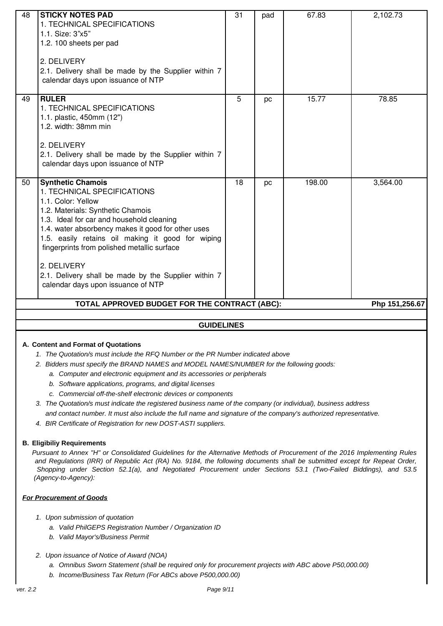| 48 | <b>STICKY NOTES PAD</b><br>1. TECHNICAL SPECIFICATIONS<br>1.1. Size: 3"x5"<br>1.2. 100 sheets per pad<br>2. DELIVERY<br>2.1. Delivery shall be made by the Supplier within 7<br>calendar days upon issuance of NTP                                                                                                                                                                                                                     | 31 | pad | 67.83  | 2,102.73       |
|----|----------------------------------------------------------------------------------------------------------------------------------------------------------------------------------------------------------------------------------------------------------------------------------------------------------------------------------------------------------------------------------------------------------------------------------------|----|-----|--------|----------------|
| 49 | <b>RULER</b><br>1. TECHNICAL SPECIFICATIONS<br>1.1. plastic, 450mm (12")<br>1.2. width: 38mm min<br>2. DELIVERY<br>2.1. Delivery shall be made by the Supplier within 7<br>calendar days upon issuance of NTP                                                                                                                                                                                                                          | 5  | pc  | 15.77  | 78.85          |
| 50 | <b>Synthetic Chamois</b><br>1. TECHNICAL SPECIFICATIONS<br>1.1. Color: Yellow<br>1.2. Materials: Synthetic Chamois<br>1.3. Ideal for car and household cleaning<br>1.4. water absorbency makes it good for other uses<br>1.5. easily retains oil making it good for wiping<br>fingerprints from polished metallic surface<br>2. DELIVERY<br>2.1. Delivery shall be made by the Supplier within 7<br>calendar days upon issuance of NTP | 18 | pc  | 198.00 | 3,564.00       |
|    | TOTAL APPROVED BUDGET FOR THE CONTRACT (ABC):                                                                                                                                                                                                                                                                                                                                                                                          |    |     |        | Php 151,256.67 |
|    |                                                                                                                                                                                                                                                                                                                                                                                                                                        |    |     |        |                |
|    | <b>GUIDELINES</b>                                                                                                                                                                                                                                                                                                                                                                                                                      |    |     |        |                |
|    | A. Content and Format of Quotations                                                                                                                                                                                                                                                                                                                                                                                                    |    |     |        |                |

- 1. The Quotation/s must include the RFQ Number or the PR Number indicated above
- 2. Bidders must specify the BRAND NAMES and MODEL NAMES/NUMBER for the following goods:
	- a. Computer and electronic equipment and its accessories or peripherals
	- b. Software applications, programs, and digital licenses
	- c. Commercial off-the-shelf electronic devices or components
- 3. The Quotation/s must indicate the registered business name of the company (or individual), business address and contact number. It must also include the full name and signature of the company's authorized representative.
- 4. BIR Certificate of Registration for new DOST-ASTI suppliers.

### **B. Eligibiliy Requirements**

Pursuant to Annex "H" or Consolidated Guidelines for the Alternative Methods of Procurement of the 2016 Implementing Rules and Regulations (IRR) of Republic Act (RA) No. 9184, the following documents shall be submitted except for Repeat Order, Shopping under Section 52.1(a), and Negotiated Procurement under Sections 53.1 (Two-Failed Biddings), and 53.5 (Agency-to-Agency):

### **For Procurement of Goods**

- 1. Upon submission of quotation
	- a. Valid PhilGEPS Registration Number / Organization ID
	- b. Valid Mayor's/Business Permit
- 2. Upon issuance of Notice of Award (NOA)
	- a. Omnibus Sworn Statement (shall be required only for procurement projects with ABC above P50,000.00)
	- b. Income/Business Tax Return (For ABCs above P500,000.00)